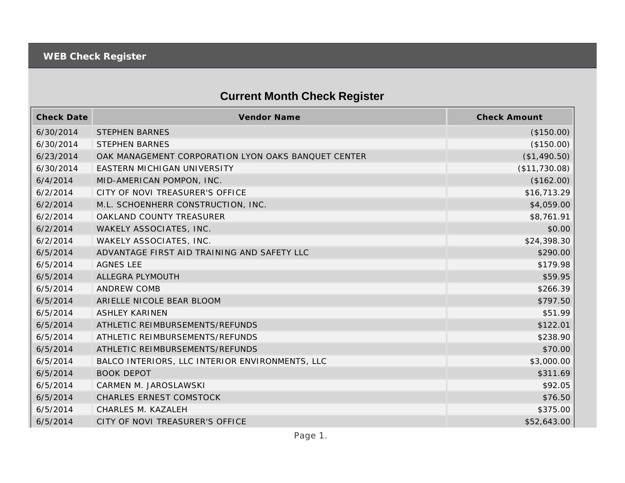## **Current Month Check Register**

| <b>Check Date</b> | <b>Vendor Name</b>                                  | <b>Check Amount</b> |
|-------------------|-----------------------------------------------------|---------------------|
| 6/30/2014         | <b>STEPHEN BARNES</b>                               | (\$150.00)          |
| 6/30/2014         | <b>STEPHEN BARNES</b>                               | (\$150.00)          |
| 6/23/2014         | OAK MANAGEMENT CORPORATION LYON OAKS BANQUET CENTER | (\$1,490.50)        |
| 6/30/2014         | EASTERN MICHIGAN UNIVERSITY                         | (\$11,730.08)       |
| 6/4/2014          | MID-AMERICAN POMPON, INC.                           | (\$162.00)          |
| 6/2/2014          | CITY OF NOVI TREASURER'S OFFICE                     | \$16,713.29         |
| 6/2/2014          | M.L. SCHOENHERR CONSTRUCTION, INC.                  | \$4,059.00          |
| 6/2/2014          | OAKLAND COUNTY TREASURER                            | \$8,761.91          |
| 6/2/2014          | WAKELY ASSOCIATES, INC.                             | \$0.00              |
| 6/2/2014          | WAKELY ASSOCIATES, INC.                             | \$24,398.30         |
| 6/5/2014          | ADVANTAGE FIRST AID TRAINING AND SAFETY LLC         | \$290.00            |
| 6/5/2014          | <b>AGNES LEE</b>                                    | \$179.98            |
| 6/5/2014          | ALLEGRA PLYMOUTH                                    | \$59.95             |
| 6/5/2014          | <b>ANDREW COMB</b>                                  | \$266.39            |
| 6/5/2014          | ARIELLE NICOLE BEAR BLOOM                           | \$797.50            |
| 6/5/2014          | <b>ASHLEY KARINEN</b>                               | \$51.99             |
| 6/5/2014          | ATHLETIC REIMBURSEMENTS/REFUNDS                     | \$122.01            |
| 6/5/2014          | ATHLETIC REIMBURSEMENTS/REFUNDS                     | \$238.90            |
| 6/5/2014          | ATHLETIC REIMBURSEMENTS/REFUNDS                     | \$70.00             |
| 6/5/2014          | BALCO INTERIORS, LLC INTERIOR ENVIRONMENTS, LLC     | \$3,000.00          |
| 6/5/2014          | <b>BOOK DEPOT</b>                                   | \$311.69            |
| 6/5/2014          | CARMEN M. JAROSLAWSKI                               | \$92.05             |
| 6/5/2014          | <b>CHARLES ERNEST COMSTOCK</b>                      | \$76.50             |
| 6/5/2014          | CHARLES M. KAZALEH                                  | \$375.00            |
| 6/5/2014          | CITY OF NOVI TREASURER'S OFFICE                     | \$52,643.00         |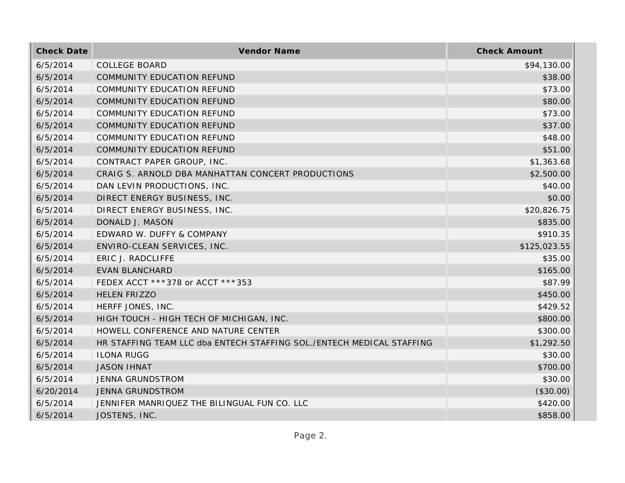| <b>Check Date</b> | Vendor Name                                                           | <b>Check Amount</b> |
|-------------------|-----------------------------------------------------------------------|---------------------|
| 6/5/2014          | <b>COLLEGE BOARD</b>                                                  | \$94,130.00         |
| 6/5/2014          | COMMUNITY EDUCATION REFUND                                            | \$38.00             |
| 6/5/2014          | COMMUNITY EDUCATION REFUND                                            | \$73.00             |
| 6/5/2014          | COMMUNITY EDUCATION REFUND                                            | \$80.00             |
| 6/5/2014          | COMMUNITY EDUCATION REFUND                                            | \$73.00             |
| 6/5/2014          | COMMUNITY EDUCATION REFUND                                            | \$37.00             |
| 6/5/2014          | COMMUNITY EDUCATION REFUND                                            | \$48.00             |
| 6/5/2014          | COMMUNITY EDUCATION REFUND                                            | \$51.00             |
| 6/5/2014          | CONTRACT PAPER GROUP, INC.                                            | \$1,363.68          |
| 6/5/2014          | CRAIG S. ARNOLD DBA MANHATTAN CONCERT PRODUCTIONS                     | \$2,500.00          |
| 6/5/2014          | DAN LEVIN PRODUCTIONS, INC.                                           | \$40.00             |
| 6/5/2014          | DIRECT ENERGY BUSINESS, INC.                                          | \$0.00              |
| 6/5/2014          | DIRECT ENERGY BUSINESS, INC.                                          | \$20,826.75         |
| 6/5/2014          | DONALD J. MASON                                                       | \$835.00            |
| 6/5/2014          | EDWARD W. DUFFY & COMPANY                                             | \$910.35            |
| 6/5/2014          | ENVIRO-CLEAN SERVICES, INC.                                           | \$125,023.55        |
| 6/5/2014          | ERIC J. RADCLIFFE                                                     | \$35.00             |
| 6/5/2014          | <b>EVAN BLANCHARD</b>                                                 | \$165.00            |
| 6/5/2014          | FEDEX ACCT ***378 or ACCT ***353                                      | \$87.99             |
| 6/5/2014          | <b>HELEN FRIZZO</b>                                                   | \$450.00            |
| 6/5/2014          | HERFF JONES, INC.                                                     | \$429.52            |
| 6/5/2014          | HIGH TOUCH - HIGH TECH OF MICHIGAN, INC.                              | \$800.00            |
| 6/5/2014          | HOWELL CONFERENCE AND NATURE CENTER                                   | \$300.00            |
| 6/5/2014          | HR STAFFING TEAM LLC dba ENTECH STAFFING SOL./ENTECH MEDICAL STAFFING | \$1,292.50          |
| 6/5/2014          | <b>ILONA RUGG</b>                                                     | \$30.00             |
| 6/5/2014          | <b>JASON IHNAT</b>                                                    | \$700.00            |
| 6/5/2014          | <b>JENNA GRUNDSTROM</b>                                               | \$30.00             |
| 6/20/2014         | <b>JENNA GRUNDSTROM</b>                                               | (\$30.00)           |
| 6/5/2014          | JENNIFER MANRIQUEZ THE BILINGUAL FUN CO. LLC                          | \$420.00            |
| 6/5/2014          | JOSTENS, INC.                                                         | \$858.00            |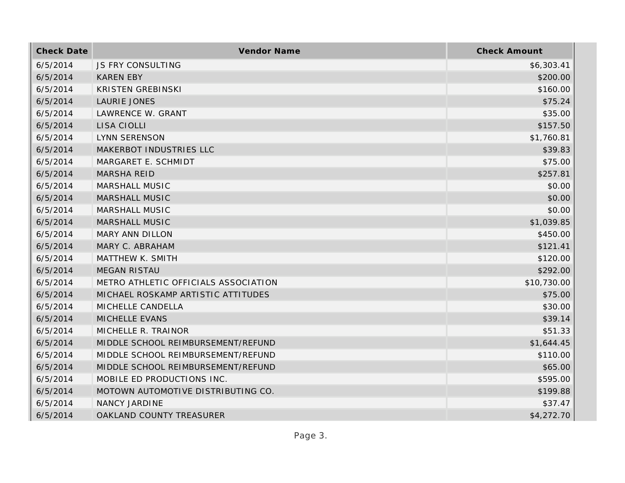| <b>Check Date</b> | Vendor Name                          | <b>Check Amount</b> |
|-------------------|--------------------------------------|---------------------|
| 6/5/2014          | JS FRY CONSULTING                    | \$6,303.41          |
| 6/5/2014          | <b>KAREN EBY</b>                     | \$200.00            |
| 6/5/2014          | <b>KRISTEN GREBINSKI</b>             | \$160.00            |
| 6/5/2014          | LAURIE JONES                         | \$75.24             |
| 6/5/2014          | LAWRENCE W. GRANT                    | \$35.00             |
| 6/5/2014          | LISA CIOLLI                          | \$157.50            |
| 6/5/2014          | LYNN SERENSON                        | \$1,760.81          |
| 6/5/2014          | MAKERBOT INDUSTRIES LLC              | \$39.83             |
| 6/5/2014          | MARGARET E. SCHMIDT                  | \$75.00             |
| 6/5/2014          | <b>MARSHA REID</b>                   | \$257.81            |
| 6/5/2014          | MARSHALL MUSIC                       | \$0.00              |
| 6/5/2014          | <b>MARSHALL MUSIC</b>                | \$0.00              |
| 6/5/2014          | MARSHALL MUSIC                       | \$0.00              |
| 6/5/2014          | <b>MARSHALL MUSIC</b>                | \$1,039.85          |
| 6/5/2014          | <b>MARY ANN DILLON</b>               | \$450.00            |
| 6/5/2014          | MARY C. ABRAHAM                      | \$121.41            |
| 6/5/2014          | MATTHEW K. SMITH                     | \$120.00            |
| 6/5/2014          | <b>MEGAN RISTAU</b>                  | \$292.00            |
| 6/5/2014          | METRO ATHLETIC OFFICIALS ASSOCIATION | \$10,730.00         |
| 6/5/2014          | MICHAEL ROSKAMP ARTISTIC ATTITUDES   | \$75.00             |
| 6/5/2014          | MICHELLE CANDELLA                    | \$30.00             |
| 6/5/2014          | MICHELLE EVANS                       | \$39.14             |
| 6/5/2014          | MICHELLE R. TRAINOR                  | \$51.33             |
| 6/5/2014          | MIDDLE SCHOOL REIMBURSEMENT/REFUND   | \$1,644.45          |
| 6/5/2014          | MIDDLE SCHOOL REIMBURSEMENT/REFUND   | \$110.00            |
| 6/5/2014          | MIDDLE SCHOOL REIMBURSEMENT/REFUND   | \$65.00             |
| 6/5/2014          | MOBILE ED PRODUCTIONS INC.           | \$595.00            |
| 6/5/2014          | MOTOWN AUTOMOTIVE DISTRIBUTING CO.   | \$199.88            |
| 6/5/2014          | NANCY JARDINE                        | \$37.47             |
| 6/5/2014          | OAKLAND COUNTY TREASURER             | \$4,272.70          |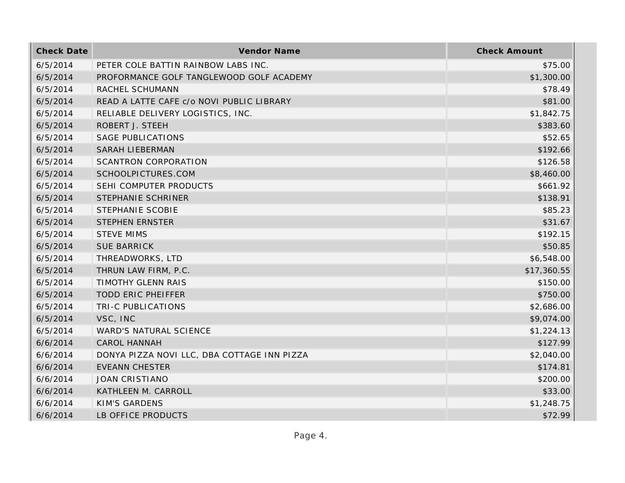| <b>Check Date</b> | Vendor Name                                 | <b>Check Amount</b> |
|-------------------|---------------------------------------------|---------------------|
| 6/5/2014          | PETER COLE BATTIN RAINBOW LABS INC.         | \$75.00             |
| 6/5/2014          | PROFORMANCE GOLF TANGLEWOOD GOLF ACADEMY    | \$1,300.00          |
| 6/5/2014          | RACHEL SCHUMANN                             | \$78.49             |
| 6/5/2014          | READ A LATTE CAFE c/o NOVI PUBLIC LIBRARY   | \$81.00             |
| 6/5/2014          | RELIABLE DELIVERY LOGISTICS, INC.           | \$1,842.75          |
| 6/5/2014          | ROBERT J. STEEH                             | \$383.60            |
| 6/5/2014          | <b>SAGE PUBLICATIONS</b>                    | \$52.65             |
| 6/5/2014          | <b>SARAH LIEBERMAN</b>                      | \$192.66            |
| 6/5/2014          | <b>SCANTRON CORPORATION</b>                 | \$126.58            |
| 6/5/2014          | SCHOOLPICTURES.COM                          | \$8,460.00          |
| 6/5/2014          | SEHI COMPUTER PRODUCTS                      | \$661.92            |
| 6/5/2014          | STEPHANIE SCHRINER                          | \$138.91            |
| 6/5/2014          | STEPHANIE SCOBIE                            | \$85.23             |
| 6/5/2014          | <b>STEPHEN ERNSTER</b>                      | \$31.67             |
| 6/5/2014          | <b>STEVE MIMS</b>                           | \$192.15            |
| 6/5/2014          | <b>SUE BARRICK</b>                          | \$50.85             |
| 6/5/2014          | THREADWORKS, LTD                            | \$6,548.00          |
| 6/5/2014          | THRUN LAW FIRM, P.C.                        | \$17,360.55         |
| 6/5/2014          | TIMOTHY GLENN RAIS                          | \$150.00            |
| 6/5/2014          | <b>TODD ERIC PHEIFFER</b>                   | \$750.00            |
| 6/5/2014          | TRI-C PUBLICATIONS                          | \$2,686.00          |
| 6/5/2014          | VSC, INC                                    | \$9,074.00          |
| 6/5/2014          | WARD'S NATURAL SCIENCE                      | \$1,224.13          |
| 6/6/2014          | <b>CAROL HANNAH</b>                         | \$127.99            |
| 6/6/2014          | DONYA PIZZA NOVI LLC, DBA COTTAGE INN PIZZA | \$2,040.00          |
| 6/6/2014          | <b>EVEANN CHESTER</b>                       | \$174.81            |
| 6/6/2014          | <b>JOAN CRISTIANO</b>                       | \$200.00            |
| 6/6/2014          | KATHLEEN M. CARROLL                         | \$33.00             |
| 6/6/2014          | <b>KIM'S GARDENS</b>                        | \$1,248.75          |
| 6/6/2014          | LB OFFICE PRODUCTS                          | \$72.99             |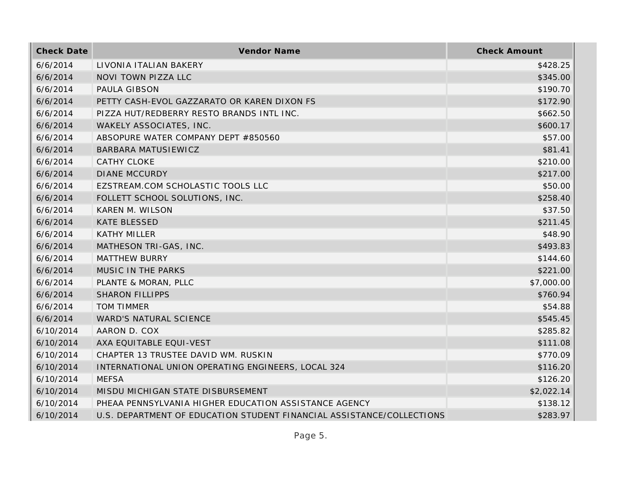| <b>Check Date</b> | Vendor Name                                                           | <b>Check Amount</b> |
|-------------------|-----------------------------------------------------------------------|---------------------|
| 6/6/2014          | LIVONIA ITALIAN BAKERY                                                | \$428.25            |
| 6/6/2014          | NOVI TOWN PIZZA LLC                                                   | \$345.00            |
| 6/6/2014          | PAULA GIBSON                                                          | \$190.70            |
| 6/6/2014          | PETTY CASH-EVOL GAZZARATO OR KAREN DIXON FS                           | \$172.90            |
| 6/6/2014          | PIZZA HUT/REDBERRY RESTO BRANDS INTL INC.                             | \$662.50            |
| 6/6/2014          | WAKELY ASSOCIATES, INC.                                               | \$600.17            |
| 6/6/2014          | ABSOPURE WATER COMPANY DEPT #850560                                   | \$57.00             |
| 6/6/2014          | BARBARA MATUSIEWICZ                                                   | \$81.41             |
| 6/6/2014          | <b>CATHY CLOKE</b>                                                    | \$210.00            |
| 6/6/2014          | <b>DIANE MCCURDY</b>                                                  | \$217.00            |
| 6/6/2014          | EZSTREAM.COM SCHOLASTIC TOOLS LLC                                     | \$50.00             |
| 6/6/2014          | FOLLETT SCHOOL SOLUTIONS, INC.                                        | \$258.40            |
| 6/6/2014          | KAREN M. WILSON                                                       | \$37.50             |
| 6/6/2014          | <b>KATE BLESSED</b>                                                   | \$211.45            |
| 6/6/2014          | <b>KATHY MILLER</b>                                                   | \$48.90             |
| 6/6/2014          | MATHESON TRI-GAS, INC.                                                | \$493.83            |
| 6/6/2014          | <b>MATTHEW BURRY</b>                                                  | \$144.60            |
| 6/6/2014          | MUSIC IN THE PARKS                                                    | \$221.00            |
| 6/6/2014          | PLANTE & MORAN, PLLC                                                  | \$7,000.00          |
| 6/6/2014          | <b>SHARON FILLIPPS</b>                                                | \$760.94            |
| 6/6/2014          | <b>TOM TIMMER</b>                                                     | \$54.88             |
| 6/6/2014          | WARD'S NATURAL SCIENCE                                                | \$545.45            |
| 6/10/2014         | AARON D. COX                                                          | \$285.82            |
| 6/10/2014         | AXA EQUITABLE EQUI-VEST                                               | \$111.08            |
| 6/10/2014         | CHAPTER 13 TRUSTEE DAVID WM. RUSKIN                                   | \$770.09            |
| 6/10/2014         | INTERNATIONAL UNION OPERATING ENGINEERS, LOCAL 324                    | \$116.20            |
| 6/10/2014         | <b>MEFSA</b>                                                          | \$126.20            |
| 6/10/2014         | MISDU MICHIGAN STATE DISBURSEMENT                                     | \$2,022.14          |
| 6/10/2014         | PHEAA PENNSYLVANIA HIGHER EDUCATION ASSISTANCE AGENCY                 | \$138.12            |
| 6/10/2014         | U.S. DEPARTMENT OF EDUCATION STUDENT FINANCIAL ASSISTANCE/COLLECTIONS | \$283.97            |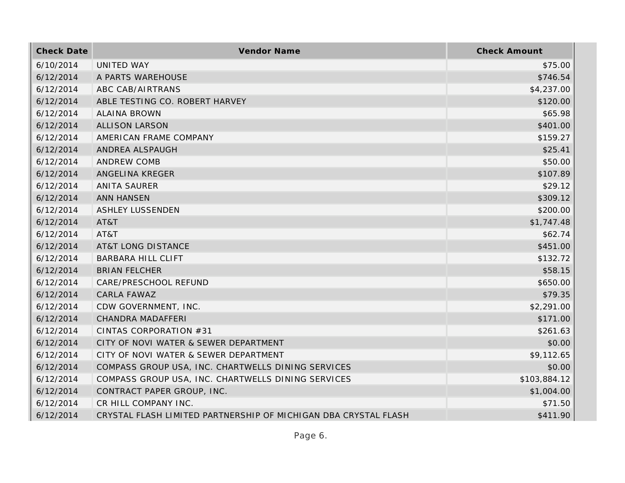| <b>Check Date</b> | Vendor Name                                                     | <b>Check Amount</b> |
|-------------------|-----------------------------------------------------------------|---------------------|
| 6/10/2014         | UNITED WAY                                                      | \$75.00             |
| 6/12/2014         | A PARTS WAREHOUSE                                               | \$746.54            |
| 6/12/2014         | ABC CAB/AIRTRANS                                                | \$4,237.00          |
| 6/12/2014         | ABLE TESTING CO. ROBERT HARVEY                                  | \$120.00            |
| 6/12/2014         | <b>ALAINA BROWN</b>                                             | \$65.98             |
| 6/12/2014         | <b>ALLISON LARSON</b>                                           | \$401.00            |
| 6/12/2014         | AMERICAN FRAME COMPANY                                          | \$159.27            |
| 6/12/2014         | ANDREA ALSPAUGH                                                 | \$25.41             |
| 6/12/2014         | <b>ANDREW COMB</b>                                              | \$50.00             |
| 6/12/2014         | ANGELINA KREGER                                                 | \$107.89            |
| 6/12/2014         | <b>ANITA SAURER</b>                                             | \$29.12             |
| 6/12/2014         | <b>ANN HANSEN</b>                                               | \$309.12            |
| 6/12/2014         | <b>ASHLEY LUSSENDEN</b>                                         | \$200.00            |
| 6/12/2014         | AT&T                                                            | \$1,747.48          |
| 6/12/2014         | AT&T                                                            | \$62.74             |
| 6/12/2014         | <b>AT&amp;T LONG DISTANCE</b>                                   | \$451.00            |
| 6/12/2014         | <b>BARBARA HILL CLIFT</b>                                       | \$132.72            |
| 6/12/2014         | <b>BRIAN FELCHER</b>                                            | \$58.15             |
| 6/12/2014         | CARE/PRESCHOOL REFUND                                           | \$650.00            |
| 6/12/2014         | CARLA FAWAZ                                                     | \$79.35             |
| 6/12/2014         | CDW GOVERNMENT, INC.                                            | \$2,291.00          |
| 6/12/2014         | CHANDRA MADAFFERI                                               | \$171.00            |
| 6/12/2014         | CINTAS CORPORATION #31                                          | \$261.63            |
| 6/12/2014         | CITY OF NOVI WATER & SEWER DEPARTMENT                           | \$0.00              |
| 6/12/2014         | CITY OF NOVI WATER & SEWER DEPARTMENT                           | \$9,112.65          |
| 6/12/2014         | COMPASS GROUP USA, INC. CHARTWELLS DINING SERVICES              | \$0.00              |
| 6/12/2014         | COMPASS GROUP USA, INC. CHARTWELLS DINING SERVICES              | \$103,884.12        |
| 6/12/2014         | CONTRACT PAPER GROUP, INC.                                      | \$1,004.00          |
| 6/12/2014         | CR HILL COMPANY INC.                                            | \$71.50             |
| 6/12/2014         | CRYSTAL FLASH LIMITED PARTNERSHIP OF MICHIGAN DBA CRYSTAL FLASH | \$411.90            |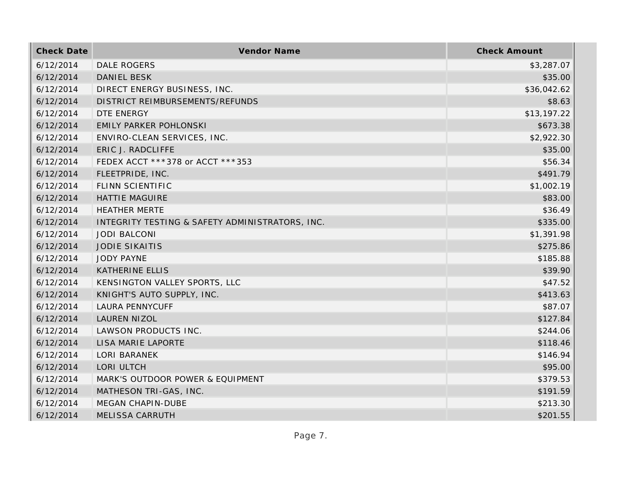| <b>Check Date</b> | Vendor Name                                     | <b>Check Amount</b> |
|-------------------|-------------------------------------------------|---------------------|
| 6/12/2014         | <b>DALE ROGERS</b>                              | \$3,287.07          |
| 6/12/2014         | <b>DANIEL BESK</b>                              | \$35.00             |
| 6/12/2014         | DIRECT ENERGY BUSINESS, INC.                    | \$36,042.62         |
| 6/12/2014         | DISTRICT REIMBURSEMENTS/REFUNDS                 | \$8.63              |
| 6/12/2014         | DTE ENERGY                                      | \$13,197.22         |
| 6/12/2014         | <b>EMILY PARKER POHLONSKI</b>                   | \$673.38            |
| 6/12/2014         | ENVIRO-CLEAN SERVICES, INC.                     | \$2,922.30          |
| 6/12/2014         | ERIC J. RADCLIFFE                               | \$35.00             |
| 6/12/2014         | FEDEX ACCT ***378 or ACCT ***353                | \$56.34             |
| 6/12/2014         | FLEETPRIDE, INC.                                | \$491.79            |
| 6/12/2014         | FLINN SCIENTIFIC                                | \$1,002.19          |
| 6/12/2014         | <b>HATTIE MAGUIRE</b>                           | \$83.00             |
| 6/12/2014         | <b>HEATHER MERTE</b>                            | \$36.49             |
| 6/12/2014         | INTEGRITY TESTING & SAFETY ADMINISTRATORS, INC. | \$335.00            |
| 6/12/2014         | <b>JODI BALCONI</b>                             | \$1,391.98          |
| 6/12/2014         | <b>JODIE SIKAITIS</b>                           | \$275.86            |
| 6/12/2014         | <b>JODY PAYNE</b>                               | \$185.88            |
| 6/12/2014         | <b>KATHERINE ELLIS</b>                          | \$39.90             |
| 6/12/2014         | KENSINGTON VALLEY SPORTS, LLC                   | \$47.52             |
| 6/12/2014         | KNIGHT'S AUTO SUPPLY, INC.                      | \$413.63            |
| 6/12/2014         | <b>LAURA PENNYCUFF</b>                          | \$87.07             |
| 6/12/2014         | LAUREN NIZOL                                    | \$127.84            |
| 6/12/2014         | LAWSON PRODUCTS INC.                            | \$244.06            |
| 6/12/2014         | LISA MARIE LAPORTE                              | \$118.46            |
| 6/12/2014         | <b>LORI BARANEK</b>                             | \$146.94            |
| 6/12/2014         | LORI ULTCH                                      | \$95.00             |
| 6/12/2014         | MARK'S OUTDOOR POWER & EQUIPMENT                | \$379.53            |
| 6/12/2014         | MATHESON TRI-GAS, INC.                          | \$191.59            |
| 6/12/2014         | MEGAN CHAPIN-DUBE                               | \$213.30            |
| 6/12/2014         | <b>MELISSA CARRUTH</b>                          | \$201.55            |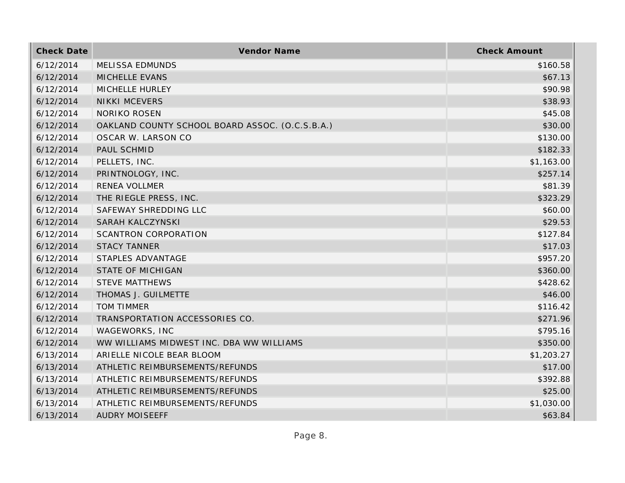| <b>Check Date</b> | Vendor Name                                     | <b>Check Amount</b> |
|-------------------|-------------------------------------------------|---------------------|
| 6/12/2014         | <b>MELISSA EDMUNDS</b>                          | \$160.58            |
| 6/12/2014         | MICHELLE EVANS                                  | \$67.13             |
| 6/12/2014         | MICHELLE HURLEY                                 | \$90.98             |
| 6/12/2014         | <b>NIKKI MCEVERS</b>                            | \$38.93             |
| 6/12/2014         | <b>NORIKO ROSEN</b>                             | \$45.08             |
| 6/12/2014         | OAKLAND COUNTY SCHOOL BOARD ASSOC. (O.C.S.B.A.) | \$30.00             |
| 6/12/2014         | OSCAR W. LARSON CO                              | \$130.00            |
| 6/12/2014         | PAUL SCHMID                                     | \$182.33            |
| 6/12/2014         | PELLETS, INC.                                   | \$1,163.00          |
| 6/12/2014         | PRINTNOLOGY, INC.                               | \$257.14            |
| 6/12/2014         | <b>RENEA VOLLMER</b>                            | \$81.39             |
| 6/12/2014         | THE RIEGLE PRESS, INC.                          | \$323.29            |
| 6/12/2014         | SAFEWAY SHREDDING LLC                           | \$60.00             |
| 6/12/2014         | SARAH KALCZYNSKI                                | \$29.53             |
| 6/12/2014         | <b>SCANTRON CORPORATION</b>                     | \$127.84            |
| 6/12/2014         | <b>STACY TANNER</b>                             | \$17.03             |
| 6/12/2014         | STAPLES ADVANTAGE                               | \$957.20            |
| 6/12/2014         | <b>STATE OF MICHIGAN</b>                        | \$360.00            |
| 6/12/2014         | <b>STEVE MATTHEWS</b>                           | \$428.62            |
| 6/12/2014         | THOMAS J. GUILMETTE                             | \$46.00             |
| 6/12/2014         | <b>TOM TIMMER</b>                               | \$116.42            |
| 6/12/2014         | TRANSPORTATION ACCESSORIES CO.                  | \$271.96            |
| 6/12/2014         | WAGEWORKS, INC                                  | \$795.16            |
| 6/12/2014         | WW WILLIAMS MIDWEST INC. DBA WW WILLIAMS        | \$350.00            |
| 6/13/2014         | ARIELLE NICOLE BEAR BLOOM                       | \$1,203.27          |
| 6/13/2014         | ATHLETIC REIMBURSEMENTS/REFUNDS                 | \$17.00             |
| 6/13/2014         | ATHLETIC REIMBURSEMENTS/REFUNDS                 | \$392.88            |
| 6/13/2014         | ATHLETIC REIMBURSEMENTS/REFUNDS                 | \$25.00             |
| 6/13/2014         | ATHLETIC REIMBURSEMENTS/REFUNDS                 | \$1,030.00          |
| 6/13/2014         | <b>AUDRY MOISEEFF</b>                           | \$63.84             |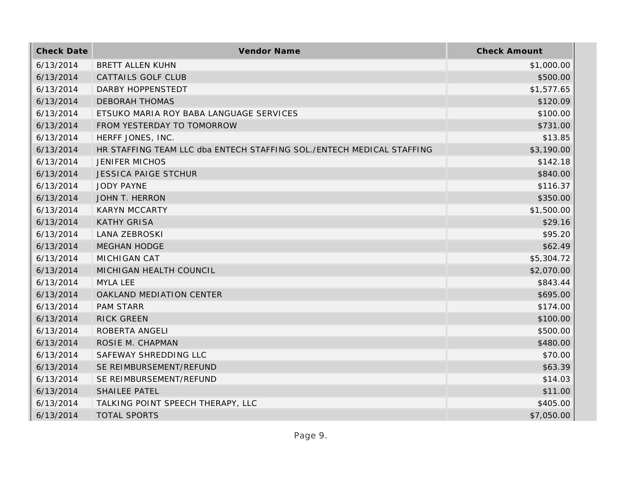| <b>Check Date</b> | Vendor Name                                                           | <b>Check Amount</b> |
|-------------------|-----------------------------------------------------------------------|---------------------|
| 6/13/2014         | BRETT ALLEN KUHN                                                      | \$1,000.00          |
| 6/13/2014         | <b>CATTAILS GOLF CLUB</b>                                             | \$500.00            |
| 6/13/2014         | DARBY HOPPENSTEDT                                                     | \$1,577.65          |
| 6/13/2014         | <b>DEBORAH THOMAS</b>                                                 | \$120.09            |
| 6/13/2014         | ETSUKO MARIA ROY BABA LANGUAGE SERVICES                               | \$100.00            |
| 6/13/2014         | FROM YESTERDAY TO TOMORROW                                            | \$731.00            |
| 6/13/2014         | HERFF JONES, INC.                                                     | \$13.85             |
| 6/13/2014         | HR STAFFING TEAM LLC dba ENTECH STAFFING SOL./ENTECH MEDICAL STAFFING | \$3,190.00          |
| 6/13/2014         | <b>JENIFER MICHOS</b>                                                 | \$142.18            |
| 6/13/2014         | <b>JESSICA PAIGE STCHUR</b>                                           | \$840.00            |
| 6/13/2014         | <b>JODY PAYNE</b>                                                     | \$116.37            |
| 6/13/2014         | JOHN T. HERRON                                                        | \$350.00            |
| 6/13/2014         | <b>KARYN MCCARTY</b>                                                  | \$1,500.00          |
| 6/13/2014         | <b>KATHY GRISA</b>                                                    | \$29.16             |
| 6/13/2014         | <b>LANA ZEBROSKI</b>                                                  | \$95.20             |
| 6/13/2014         | <b>MEGHAN HODGE</b>                                                   | \$62.49             |
| 6/13/2014         | <b>MICHIGAN CAT</b>                                                   | \$5,304.72          |
| 6/13/2014         | MICHIGAN HEALTH COUNCIL                                               | \$2,070.00          |
| 6/13/2014         | MYLA LEE                                                              | \$843.44            |
| 6/13/2014         | OAKLAND MEDIATION CENTER                                              | \$695.00            |
| 6/13/2014         | <b>PAM STARR</b>                                                      | \$174.00            |
| 6/13/2014         | <b>RICK GREEN</b>                                                     | \$100.00            |
| 6/13/2014         | ROBERTA ANGELI                                                        | \$500.00            |
| 6/13/2014         | ROSIE M. CHAPMAN                                                      | \$480.00            |
| 6/13/2014         | SAFEWAY SHREDDING LLC                                                 | \$70.00             |
| 6/13/2014         | SE REIMBURSEMENT/REFUND                                               | \$63.39             |
| 6/13/2014         | SE REIMBURSEMENT/REFUND                                               | \$14.03             |
| 6/13/2014         | <b>SHAILEE PATEL</b>                                                  | \$11.00             |
| 6/13/2014         | TALKING POINT SPEECH THERAPY, LLC                                     | \$405.00            |
| 6/13/2014         | <b>TOTAL SPORTS</b>                                                   | \$7,050.00          |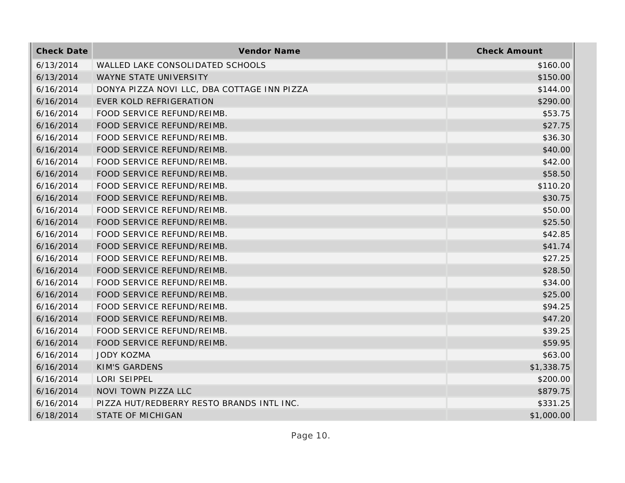| <b>Check Date</b> | Vendor Name                                 | <b>Check Amount</b> |
|-------------------|---------------------------------------------|---------------------|
| 6/13/2014         | WALLED LAKE CONSOLIDATED SCHOOLS            | \$160.00            |
| 6/13/2014         | WAYNE STATE UNIVERSITY                      | \$150.00            |
| 6/16/2014         | DONYA PIZZA NOVI LLC, DBA COTTAGE INN PIZZA | \$144.00            |
| 6/16/2014         | <b>EVER KOLD REFRIGERATION</b>              | \$290.00            |
| 6/16/2014         | FOOD SERVICE REFUND/REIMB.                  | \$53.75             |
| 6/16/2014         | FOOD SERVICE REFUND/REIMB.                  | \$27.75             |
| 6/16/2014         | FOOD SERVICE REFUND/REIMB.                  | \$36.30             |
| 6/16/2014         | FOOD SERVICE REFUND/REIMB.                  | \$40.00             |
| 6/16/2014         | FOOD SERVICE REFUND/REIMB.                  | \$42.00             |
| 6/16/2014         | FOOD SERVICE REFUND/REIMB.                  | \$58.50             |
| 6/16/2014         | FOOD SERVICE REFUND/REIMB.                  | \$110.20            |
| 6/16/2014         | FOOD SERVICE REFUND/REIMB.                  | \$30.75             |
| 6/16/2014         | FOOD SERVICE REFUND/REIMB.                  | \$50.00             |
| 6/16/2014         | FOOD SERVICE REFUND/REIMB.                  | \$25.50             |
| 6/16/2014         | FOOD SERVICE REFUND/REIMB.                  | \$42.85             |
| 6/16/2014         | FOOD SERVICE REFUND/REIMB.                  | \$41.74             |
| 6/16/2014         | FOOD SERVICE REFUND/REIMB.                  | \$27.25             |
| 6/16/2014         | FOOD SERVICE REFUND/REIMB.                  | \$28.50             |
| 6/16/2014         | FOOD SERVICE REFUND/REIMB.                  | \$34.00             |
| 6/16/2014         | FOOD SERVICE REFUND/REIMB.                  | \$25.00             |
| 6/16/2014         | FOOD SERVICE REFUND/REIMB.                  | \$94.25             |
| 6/16/2014         | FOOD SERVICE REFUND/REIMB.                  | \$47.20             |
| 6/16/2014         | FOOD SERVICE REFUND/REIMB.                  | \$39.25             |
| 6/16/2014         | FOOD SERVICE REFUND/REIMB.                  | \$59.95             |
| 6/16/2014         | <b>JODY KOZMA</b>                           | \$63.00             |
| 6/16/2014         | <b>KIM'S GARDENS</b>                        | \$1,338.75          |
| 6/16/2014         | LORI SEIPPEL                                | \$200.00            |
| 6/16/2014         | NOVI TOWN PIZZA LLC                         | \$879.75            |
| 6/16/2014         | PIZZA HUT/REDBERRY RESTO BRANDS INTL INC.   | \$331.25            |
| 6/18/2014         | <b>STATE OF MICHIGAN</b>                    | \$1,000.00          |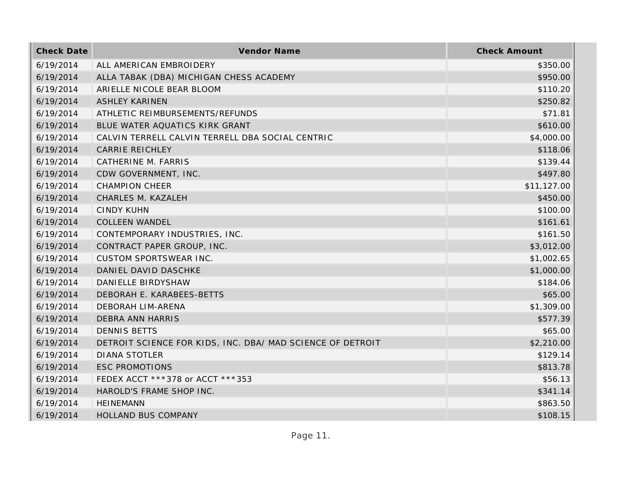| <b>Check Date</b> | Vendor Name                                                | <b>Check Amount</b> |
|-------------------|------------------------------------------------------------|---------------------|
| 6/19/2014         | ALL AMERICAN EMBROIDERY                                    | \$350.00            |
| 6/19/2014         | ALLA TABAK (DBA) MICHIGAN CHESS ACADEMY                    | \$950.00            |
| 6/19/2014         | ARIELLE NICOLE BEAR BLOOM                                  | \$110.20            |
| 6/19/2014         | <b>ASHLEY KARINEN</b>                                      | \$250.82            |
| 6/19/2014         | ATHLETIC REIMBURSEMENTS/REFUNDS                            | \$71.81             |
| 6/19/2014         | BLUE WATER AQUATICS KIRK GRANT                             | \$610.00            |
| 6/19/2014         | CALVIN TERRELL CALVIN TERRELL DBA SOCIAL CENTRIC           | \$4,000.00          |
| 6/19/2014         | <b>CARRIE REICHLEY</b>                                     | \$118.06            |
| 6/19/2014         | CATHERINE M. FARRIS                                        | \$139.44            |
| 6/19/2014         | CDW GOVERNMENT, INC.                                       | \$497.80            |
| 6/19/2014         | <b>CHAMPION CHEER</b>                                      | \$11,127.00         |
| 6/19/2014         | CHARLES M. KAZALEH                                         | \$450.00            |
| 6/19/2014         | <b>CINDY KUHN</b>                                          | \$100.00            |
| 6/19/2014         | <b>COLLEEN WANDEL</b>                                      | \$161.61            |
| 6/19/2014         | CONTEMPORARY INDUSTRIES, INC.                              | \$161.50            |
| 6/19/2014         | CONTRACT PAPER GROUP, INC.                                 | \$3,012.00          |
| 6/19/2014         | <b>CUSTOM SPORTSWEAR INC.</b>                              | \$1,002.65          |
| 6/19/2014         | DANIEL DAVID DASCHKE                                       | \$1,000.00          |
| 6/19/2014         | DANIELLE BIRDYSHAW                                         | \$184.06            |
| 6/19/2014         | DEBORAH E. KARABEES-BETTS                                  | \$65.00             |
| 6/19/2014         | DEBORAH LIM-ARENA                                          | \$1,309.00          |
| 6/19/2014         | <b>DEBRA ANN HARRIS</b>                                    | \$577.39            |
| 6/19/2014         | <b>DENNIS BETTS</b>                                        | \$65.00             |
| 6/19/2014         | DETROIT SCIENCE FOR KIDS, INC. DBA/ MAD SCIENCE OF DETROIT | \$2,210.00          |
| 6/19/2014         | <b>DIANA STOTLER</b>                                       | \$129.14            |
| 6/19/2014         | <b>ESC PROMOTIONS</b>                                      | \$813.78            |
| 6/19/2014         | FEDEX ACCT ***378 or ACCT ***353                           | \$56.13             |
| 6/19/2014         | HAROLD'S FRAME SHOP INC.                                   | \$341.14            |
| 6/19/2014         | <b>HEINEMANN</b>                                           | \$863.50            |
| 6/19/2014         | <b>HOLLAND BUS COMPANY</b>                                 | \$108.15            |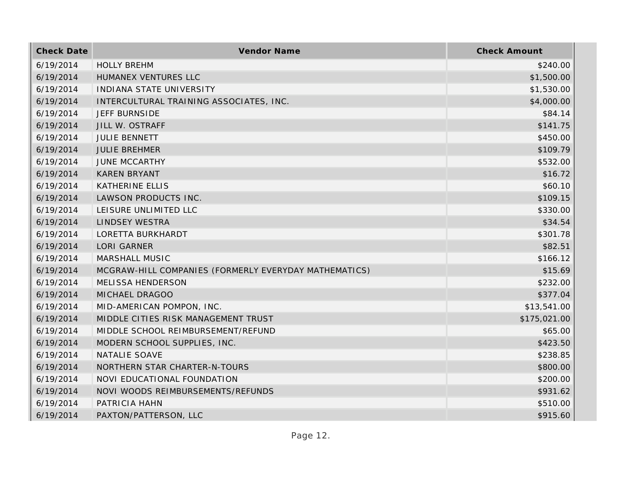| <b>Check Date</b> | Vendor Name                                           | <b>Check Amount</b> |
|-------------------|-------------------------------------------------------|---------------------|
| 6/19/2014         | <b>HOLLY BREHM</b>                                    | \$240.00            |
| 6/19/2014         | HUMANEX VENTURES LLC                                  | \$1,500.00          |
| 6/19/2014         | INDIANA STATE UNIVERSITY                              | \$1,530.00          |
| 6/19/2014         | INTERCULTURAL TRAINING ASSOCIATES, INC.               | \$4,000.00          |
| 6/19/2014         | JEFF BURNSIDE                                         | \$84.14             |
| 6/19/2014         | JILL W. OSTRAFF                                       | \$141.75            |
| 6/19/2014         | <b>JULIE BENNETT</b>                                  | \$450.00            |
| 6/19/2014         | <b>JULIE BREHMER</b>                                  | \$109.79            |
| 6/19/2014         | <b>JUNE MCCARTHY</b>                                  | \$532.00            |
| 6/19/2014         | <b>KAREN BRYANT</b>                                   | \$16.72             |
| 6/19/2014         | <b>KATHERINE ELLIS</b>                                | \$60.10             |
| 6/19/2014         | LAWSON PRODUCTS INC.                                  | \$109.15            |
| 6/19/2014         | LEISURE UNLIMITED LLC                                 | \$330.00            |
| 6/19/2014         | <b>LINDSEY WESTRA</b>                                 | \$34.54             |
| 6/19/2014         | LORETTA BURKHARDT                                     | \$301.78            |
| 6/19/2014         | <b>LORI GARNER</b>                                    | \$82.51             |
| 6/19/2014         | MARSHALL MUSIC                                        | \$166.12            |
| 6/19/2014         | MCGRAW-HILL COMPANIES (FORMERLY EVERYDAY MATHEMATICS) | \$15.69             |
| 6/19/2014         | MELISSA HENDERSON                                     | \$232.00            |
| 6/19/2014         | MICHAEL DRAGOO                                        | \$377.04            |
| 6/19/2014         | MID-AMERICAN POMPON, INC.                             | \$13,541.00         |
| 6/19/2014         | MIDDLE CITIES RISK MANAGEMENT TRUST                   | \$175,021.00        |
| 6/19/2014         | MIDDLE SCHOOL REIMBURSEMENT/REFUND                    | \$65.00             |
| 6/19/2014         | MODERN SCHOOL SUPPLIES, INC.                          | \$423.50            |
| 6/19/2014         | NATALIE SOAVE                                         | \$238.85            |
| 6/19/2014         | NORTHERN STAR CHARTER-N-TOURS                         | \$800.00            |
| 6/19/2014         | NOVI EDUCATIONAL FOUNDATION                           | \$200.00            |
| 6/19/2014         | NOVI WOODS REIMBURSEMENTS/REFUNDS                     | \$931.62            |
| 6/19/2014         | PATRICIA HAHN                                         | \$510.00            |
| 6/19/2014         | PAXTON/PATTERSON, LLC                                 | \$915.60            |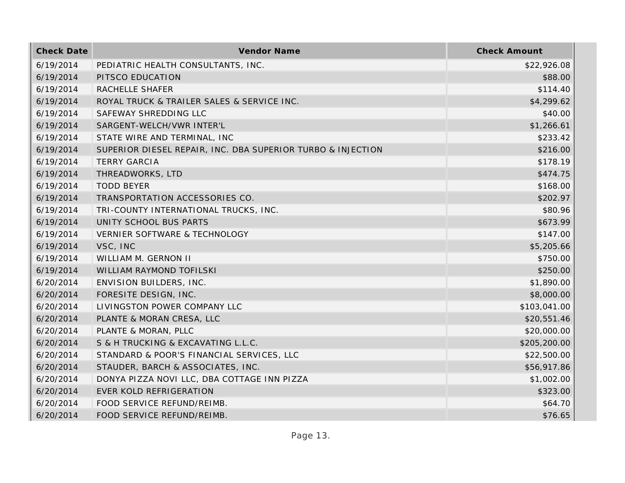| <b>Check Date</b> | Vendor Name                                                 | <b>Check Amount</b> |
|-------------------|-------------------------------------------------------------|---------------------|
| 6/19/2014         | PEDIATRIC HEALTH CONSULTANTS, INC.                          | \$22,926.08         |
| 6/19/2014         | PITSCO EDUCATION                                            | \$88.00             |
| 6/19/2014         | RACHELLE SHAFER                                             | \$114.40            |
| 6/19/2014         | ROYAL TRUCK & TRAILER SALES & SERVICE INC.                  | \$4,299.62          |
| 6/19/2014         | SAFEWAY SHREDDING LLC                                       | \$40.00             |
| 6/19/2014         | SARGENT-WELCH/VWR INTER'L                                   | \$1,266.61          |
| 6/19/2014         | STATE WIRE AND TERMINAL, INC                                | \$233.42            |
| 6/19/2014         | SUPERIOR DIESEL REPAIR, INC. DBA SUPERIOR TURBO & INJECTION | \$216.00            |
| 6/19/2014         | <b>TERRY GARCIA</b>                                         | \$178.19            |
| 6/19/2014         | THREADWORKS, LTD                                            | \$474.75            |
| 6/19/2014         | <b>TODD BEYER</b>                                           | \$168.00            |
| 6/19/2014         | TRANSPORTATION ACCESSORIES CO.                              | \$202.97            |
| 6/19/2014         | TRI-COUNTY INTERNATIONAL TRUCKS, INC.                       | \$80.96             |
| 6/19/2014         | UNITY SCHOOL BUS PARTS                                      | \$673.99            |
| 6/19/2014         | VERNIER SOFTWARE & TECHNOLOGY                               | \$147.00            |
| 6/19/2014         | VSC, INC                                                    | \$5,205.66          |
| 6/19/2014         | WILLIAM M. GERNON II                                        | \$750.00            |
| 6/19/2014         | WILLIAM RAYMOND TOFILSKI                                    | \$250.00            |
| 6/20/2014         | ENVISION BUILDERS, INC.                                     | \$1,890.00          |
| 6/20/2014         | FORESITE DESIGN, INC.                                       | \$8,000.00          |
| 6/20/2014         | LIVINGSTON POWER COMPANY LLC                                | \$103,041.00        |
| 6/20/2014         | PLANTE & MORAN CRESA, LLC                                   | \$20,551.46         |
| 6/20/2014         | PLANTE & MORAN, PLLC                                        | \$20,000.00         |
| 6/20/2014         | S & H TRUCKING & EXCAVATING L.L.C.                          | \$205,200.00        |
| 6/20/2014         | STANDARD & POOR'S FINANCIAL SERVICES, LLC                   | \$22,500.00         |
| 6/20/2014         | STAUDER, BARCH & ASSOCIATES, INC.                           | \$56,917.86         |
| 6/20/2014         | DONYA PIZZA NOVI LLC, DBA COTTAGE INN PIZZA                 | \$1,002.00          |
| 6/20/2014         | <b>EVER KOLD REFRIGERATION</b>                              | \$323.00            |
| 6/20/2014         | FOOD SERVICE REFUND/REIMB.                                  | \$64.70             |
| 6/20/2014         | FOOD SERVICE REFUND/REIMB.                                  | \$76.65             |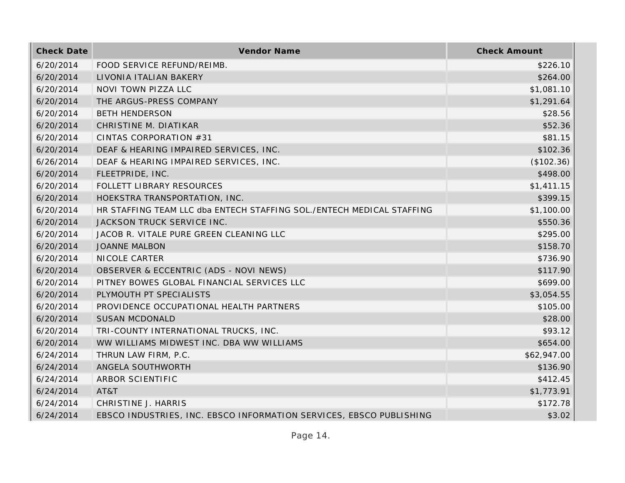| <b>Check Date</b> | Vendor Name                                                           | <b>Check Amount</b> |
|-------------------|-----------------------------------------------------------------------|---------------------|
| 6/20/2014         | FOOD SERVICE REFUND/REIMB.                                            | \$226.10            |
| 6/20/2014         | LIVONIA ITALIAN BAKERY                                                | \$264.00            |
| 6/20/2014         | NOVI TOWN PIZZA LLC                                                   | \$1,081.10          |
| 6/20/2014         | THE ARGUS-PRESS COMPANY                                               | \$1,291.64          |
| 6/20/2014         | <b>BETH HENDERSON</b>                                                 | \$28.56             |
| 6/20/2014         | CHRISTINE M. DIATIKAR                                                 | \$52.36             |
| 6/20/2014         | CINTAS CORPORATION #31                                                | \$81.15             |
| 6/20/2014         | DEAF & HEARING IMPAIRED SERVICES, INC.                                | \$102.36            |
| 6/26/2014         | DEAF & HEARING IMPAIRED SERVICES, INC.                                | (\$102.36)          |
| 6/20/2014         | FLEETPRIDE, INC.                                                      | \$498.00            |
| 6/20/2014         | FOLLETT LIBRARY RESOURCES                                             | \$1,411.15          |
| 6/20/2014         | HOEKSTRA TRANSPORTATION, INC.                                         | \$399.15            |
| 6/20/2014         | HR STAFFING TEAM LLC dba ENTECH STAFFING SOL./ENTECH MEDICAL STAFFING | \$1,100.00          |
| 6/20/2014         | JACKSON TRUCK SERVICE INC.                                            | \$550.36            |
| 6/20/2014         | JACOB R. VITALE PURE GREEN CLEANING LLC                               | \$295.00            |
| 6/20/2014         | <b>JOANNE MALBON</b>                                                  | \$158.70            |
| 6/20/2014         | NICOLE CARTER                                                         | \$736.90            |
| 6/20/2014         | OBSERVER & ECCENTRIC (ADS - NOVI NEWS)                                | \$117.90            |
| 6/20/2014         | PITNEY BOWES GLOBAL FINANCIAL SERVICES LLC                            | \$699.00            |
| 6/20/2014         | PLYMOUTH PT SPECIALISTS                                               | \$3,054.55          |
| 6/20/2014         | PROVIDENCE OCCUPATIONAL HEALTH PARTNERS                               | \$105.00            |
| 6/20/2014         | <b>SUSAN MCDONALD</b>                                                 | \$28.00             |
| 6/20/2014         | TRI-COUNTY INTERNATIONAL TRUCKS, INC.                                 | \$93.12             |
| 6/20/2014         | WW WILLIAMS MIDWEST INC. DBA WW WILLIAMS                              | \$654.00            |
| 6/24/2014         | THRUN LAW FIRM, P.C.                                                  | \$62,947.00         |
| 6/24/2014         | ANGELA SOUTHWORTH                                                     | \$136.90            |
| 6/24/2014         | ARBOR SCIENTIFIC                                                      | \$412.45            |
| 6/24/2014         | AT&T                                                                  | \$1,773.91          |
| 6/24/2014         | CHRISTINE J. HARRIS                                                   | \$172.78            |
| 6/24/2014         | EBSCO INDUSTRIES, INC. EBSCO INFORMATION SERVICES, EBSCO PUBLISHING   | \$3.02              |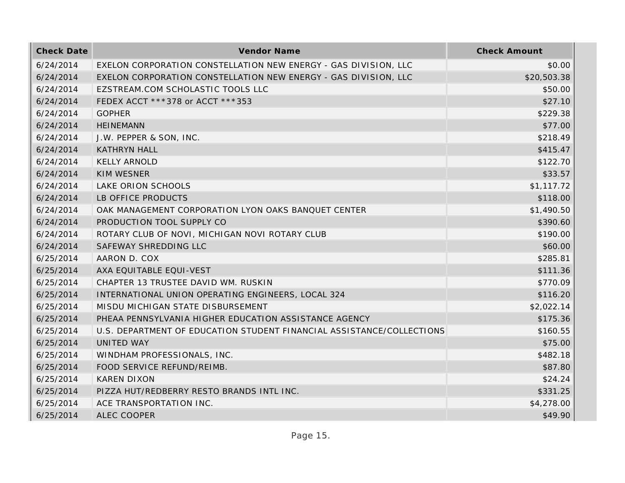| <b>Check Date</b> | Vendor Name                                                           | <b>Check Amount</b> |
|-------------------|-----------------------------------------------------------------------|---------------------|
| 6/24/2014         | EXELON CORPORATION CONSTELLATION NEW ENERGY - GAS DIVISION, LLC       | \$0.00              |
| 6/24/2014         | EXELON CORPORATION CONSTELLATION NEW ENERGY - GAS DIVISION, LLC       | \$20,503.38         |
| 6/24/2014         | EZSTREAM.COM SCHOLASTIC TOOLS LLC                                     | \$50.00             |
| 6/24/2014         | FEDEX ACCT ***378 or ACCT ***353                                      | \$27.10             |
| 6/24/2014         | <b>GOPHER</b>                                                         | \$229.38            |
| 6/24/2014         | <b>HEINEMANN</b>                                                      | \$77.00             |
| 6/24/2014         | J.W. PEPPER & SON, INC.                                               | \$218.49            |
| 6/24/2014         | <b>KATHRYN HALL</b>                                                   | \$415.47            |
| 6/24/2014         | <b>KELLY ARNOLD</b>                                                   | \$122.70            |
| 6/24/2014         | <b>KIM WESNER</b>                                                     | \$33.57             |
| 6/24/2014         | LAKE ORION SCHOOLS                                                    | \$1,117.72          |
| 6/24/2014         | LB OFFICE PRODUCTS                                                    | \$118.00            |
| 6/24/2014         | OAK MANAGEMENT CORPORATION LYON OAKS BANQUET CENTER                   | \$1,490.50          |
| 6/24/2014         | PRODUCTION TOOL SUPPLY CO                                             | \$390.60            |
| 6/24/2014         | ROTARY CLUB OF NOVI, MICHIGAN NOVI ROTARY CLUB                        | \$190.00            |
| 6/24/2014         | SAFEWAY SHREDDING LLC                                                 | \$60.00             |
| 6/25/2014         | AARON D. COX                                                          | \$285.81            |
| 6/25/2014         | AXA EQUITABLE EQUI-VEST                                               | \$111.36            |
| 6/25/2014         | CHAPTER 13 TRUSTEE DAVID WM. RUSKIN                                   | \$770.09            |
| 6/25/2014         | INTERNATIONAL UNION OPERATING ENGINEERS, LOCAL 324                    | \$116.20            |
| 6/25/2014         | MISDU MICHIGAN STATE DISBURSEMENT                                     | \$2,022.14          |
| 6/25/2014         | PHEAA PENNSYLVANIA HIGHER EDUCATION ASSISTANCE AGENCY                 | \$175.36            |
| 6/25/2014         | U.S. DEPARTMENT OF EDUCATION STUDENT FINANCIAL ASSISTANCE/COLLECTIONS | \$160.55            |
| 6/25/2014         | UNITED WAY                                                            | \$75.00             |
| 6/25/2014         | WINDHAM PROFESSIONALS, INC.                                           | \$482.18            |
| 6/25/2014         | FOOD SERVICE REFUND/REIMB.                                            | \$87.80             |
| 6/25/2014         | <b>KAREN DIXON</b>                                                    | \$24.24             |
| 6/25/2014         | PIZZA HUT/REDBERRY RESTO BRANDS INTL INC.                             | \$331.25            |
| 6/25/2014         | ACE TRANSPORTATION INC.                                               | \$4,278.00          |
| 6/25/2014         | <b>ALEC COOPER</b>                                                    | \$49.90             |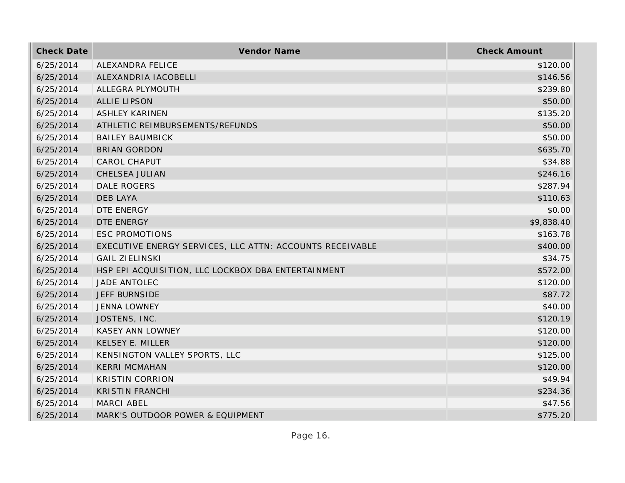| <b>Check Date</b> | Vendor Name                                              | <b>Check Amount</b> |
|-------------------|----------------------------------------------------------|---------------------|
| 6/25/2014         | ALEXANDRA FELICE                                         | \$120.00            |
| 6/25/2014         | ALEXANDRIA IACOBELLI                                     | \$146.56            |
| 6/25/2014         | ALLEGRA PLYMOUTH                                         | \$239.80            |
| 6/25/2014         | <b>ALLIE LIPSON</b>                                      | \$50.00             |
| 6/25/2014         | <b>ASHLEY KARINEN</b>                                    | \$135.20            |
| 6/25/2014         | ATHLETIC REIMBURSEMENTS/REFUNDS                          | \$50.00             |
| 6/25/2014         | <b>BAILEY BAUMBICK</b>                                   | \$50.00             |
| 6/25/2014         | <b>BRIAN GORDON</b>                                      | \$635.70            |
| 6/25/2014         | CAROL CHAPUT                                             | \$34.88             |
| 6/25/2014         | CHELSEA JULIAN                                           | \$246.16            |
| 6/25/2014         | <b>DALE ROGERS</b>                                       | \$287.94            |
| 6/25/2014         | <b>DEB LAYA</b>                                          | \$110.63            |
| 6/25/2014         | DTE ENERGY                                               | \$0.00              |
| 6/25/2014         | DTE ENERGY                                               | \$9,838.40          |
| 6/25/2014         | <b>ESC PROMOTIONS</b>                                    | \$163.78            |
| 6/25/2014         | EXECUTIVE ENERGY SERVICES, LLC ATTN: ACCOUNTS RECEIVABLE | \$400.00            |
| 6/25/2014         | <b>GAIL ZIELINSKI</b>                                    | \$34.75             |
| 6/25/2014         | HSP EPI ACQUISITION, LLC LOCKBOX DBA ENTERTAINMENT       | \$572.00            |
| 6/25/2014         | JADE ANTOLEC                                             | \$120.00            |
| 6/25/2014         | <b>JEFF BURNSIDE</b>                                     | \$87.72             |
| 6/25/2014         | <b>JENNA LOWNEY</b>                                      | \$40.00             |
| 6/25/2014         | JOSTENS, INC.                                            | \$120.19            |
| 6/25/2014         | KASEY ANN LOWNEY                                         | \$120.00            |
| 6/25/2014         | <b>KELSEY E. MILLER</b>                                  | \$120.00            |
| 6/25/2014         | KENSINGTON VALLEY SPORTS, LLC                            | \$125.00            |
| 6/25/2014         | <b>KERRI MCMAHAN</b>                                     | \$120.00            |
| 6/25/2014         | <b>KRISTIN CORRION</b>                                   | \$49.94             |
| 6/25/2014         | <b>KRISTIN FRANCHI</b>                                   | \$234.36            |
| 6/25/2014         | MARCI ABEL                                               | \$47.56             |
| 6/25/2014         | MARK'S OUTDOOR POWER & EQUIPMENT                         | \$775.20            |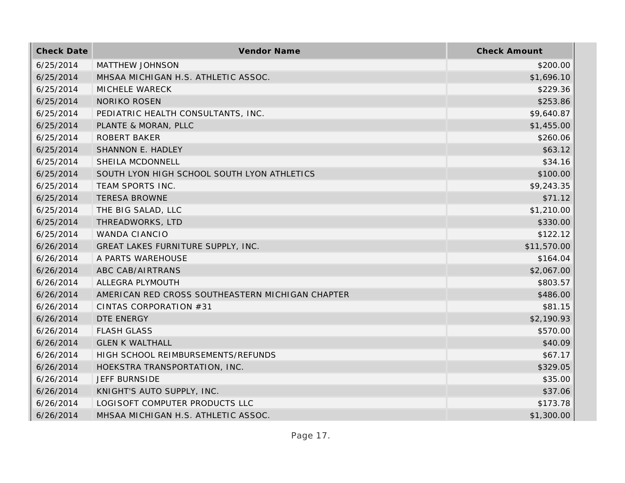| <b>Check Date</b> | Vendor Name                                      | <b>Check Amount</b> |
|-------------------|--------------------------------------------------|---------------------|
| 6/25/2014         | MATTHEW JOHNSON                                  | \$200.00            |
| 6/25/2014         | MHSAA MICHIGAN H.S. ATHLETIC ASSOC.              | \$1,696.10          |
| 6/25/2014         | MICHELE WARECK                                   | \$229.36            |
| 6/25/2014         | <b>NORIKO ROSEN</b>                              | \$253.86            |
| 6/25/2014         | PEDIATRIC HEALTH CONSULTANTS, INC.               | \$9,640.87          |
| 6/25/2014         | PLANTE & MORAN, PLLC                             | \$1,455.00          |
| 6/25/2014         | <b>ROBERT BAKER</b>                              | \$260.06            |
| 6/25/2014         | SHANNON E. HADLEY                                | \$63.12             |
| 6/25/2014         | SHEILA MCDONNELL                                 | \$34.16             |
| 6/25/2014         | SOUTH LYON HIGH SCHOOL SOUTH LYON ATHLETICS      | \$100.00            |
| 6/25/2014         | TEAM SPORTS INC.                                 | \$9,243.35          |
| 6/25/2014         | <b>TERESA BROWNE</b>                             | \$71.12             |
| 6/25/2014         | THE BIG SALAD, LLC                               | \$1,210.00          |
| 6/25/2014         | THREADWORKS, LTD                                 | \$330.00            |
| 6/25/2014         | <b>WANDA CIANCIO</b>                             | \$122.12            |
| 6/26/2014         | GREAT LAKES FURNITURE SUPPLY, INC.               | \$11,570.00         |
| 6/26/2014         | A PARTS WAREHOUSE                                | \$164.04            |
| 6/26/2014         | ABC CAB/AIRTRANS                                 | \$2,067.00          |
| 6/26/2014         | ALLEGRA PLYMOUTH                                 | \$803.57            |
| 6/26/2014         | AMERICAN RED CROSS SOUTHEASTERN MICHIGAN CHAPTER | \$486.00            |
| 6/26/2014         | CINTAS CORPORATION #31                           | \$81.15             |
| 6/26/2014         | DTE ENERGY                                       | \$2,190.93          |
| 6/26/2014         | <b>FLASH GLASS</b>                               | \$570.00            |
| 6/26/2014         | <b>GLEN K WALTHALL</b>                           | \$40.09             |
| 6/26/2014         | HIGH SCHOOL REIMBURSEMENTS/REFUNDS               | \$67.17             |
| 6/26/2014         | HOEKSTRA TRANSPORTATION, INC.                    | \$329.05            |
| 6/26/2014         | <b>JEFF BURNSIDE</b>                             | \$35.00             |
| 6/26/2014         | KNIGHT'S AUTO SUPPLY, INC.                       | \$37.06             |
| 6/26/2014         | LOGISOFT COMPUTER PRODUCTS LLC                   | \$173.78            |
| 6/26/2014         | MHSAA MICHIGAN H.S. ATHLETIC ASSOC.              | \$1,300.00          |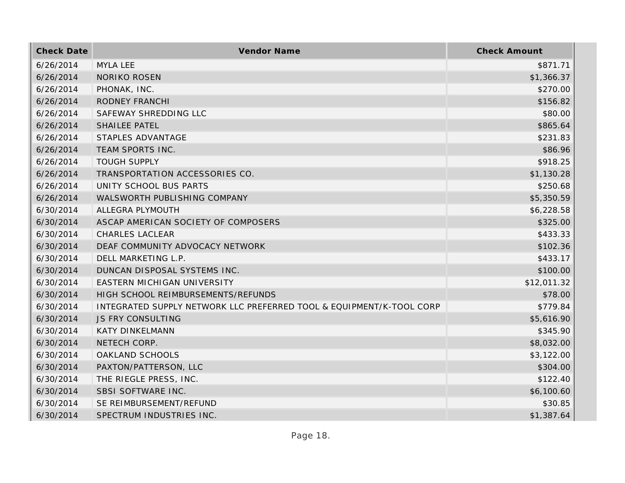| <b>Check Date</b> | Vendor Name                                                          | <b>Check Amount</b> |
|-------------------|----------------------------------------------------------------------|---------------------|
| 6/26/2014         | <b>MYLA LEE</b>                                                      | \$871.71            |
| 6/26/2014         | <b>NORIKO ROSEN</b>                                                  | \$1,366.37          |
| 6/26/2014         | PHONAK, INC.                                                         | \$270.00            |
| 6/26/2014         | RODNEY FRANCHI                                                       | \$156.82            |
| 6/26/2014         | SAFEWAY SHREDDING LLC                                                | \$80.00             |
| 6/26/2014         | SHAILEE PATEL                                                        | \$865.64            |
| 6/26/2014         | STAPLES ADVANTAGE                                                    | \$231.83            |
| 6/26/2014         | TEAM SPORTS INC.                                                     | \$86.96             |
| 6/26/2014         | <b>TOUGH SUPPLY</b>                                                  | \$918.25            |
| 6/26/2014         | TRANSPORTATION ACCESSORIES CO.                                       | \$1,130.28          |
| 6/26/2014         | UNITY SCHOOL BUS PARTS                                               | \$250.68            |
| 6/26/2014         | WALSWORTH PUBLISHING COMPANY                                         | \$5,350.59          |
| 6/30/2014         | ALLEGRA PLYMOUTH                                                     | \$6,228.58          |
| 6/30/2014         | ASCAP AMERICAN SOCIETY OF COMPOSERS                                  | \$325.00            |
| 6/30/2014         | <b>CHARLES LACLEAR</b>                                               | \$433.33            |
| 6/30/2014         | DEAF COMMUNITY ADVOCACY NETWORK                                      | \$102.36            |
| 6/30/2014         | DELL MARKETING L.P.                                                  | \$433.17            |
| 6/30/2014         | DUNCAN DISPOSAL SYSTEMS INC.                                         | \$100.00            |
| 6/30/2014         | EASTERN MICHIGAN UNIVERSITY                                          | \$12,011.32         |
| 6/30/2014         | HIGH SCHOOL REIMBURSEMENTS/REFUNDS                                   | \$78.00             |
| 6/30/2014         | INTEGRATED SUPPLY NETWORK LLC PREFERRED TOOL & EQUIPMENT/K-TOOL CORP | \$779.84            |
| 6/30/2014         | <b>JS FRY CONSULTING</b>                                             | \$5,616.90          |
| 6/30/2014         | <b>KATY DINKELMANN</b>                                               | \$345.90            |
| 6/30/2014         | NETECH CORP.                                                         | \$8,032.00          |
| 6/30/2014         | OAKLAND SCHOOLS                                                      | \$3,122.00          |
| 6/30/2014         | PAXTON/PATTERSON, LLC                                                | \$304.00            |
| 6/30/2014         | THE RIEGLE PRESS, INC.                                               | \$122.40            |
| 6/30/2014         | SBSI SOFTWARE INC.                                                   | \$6,100.60          |
| 6/30/2014         | SE REIMBURSEMENT/REFUND                                              | \$30.85             |
| 6/30/2014         | SPECTRUM INDUSTRIES INC.                                             | \$1,387.64          |